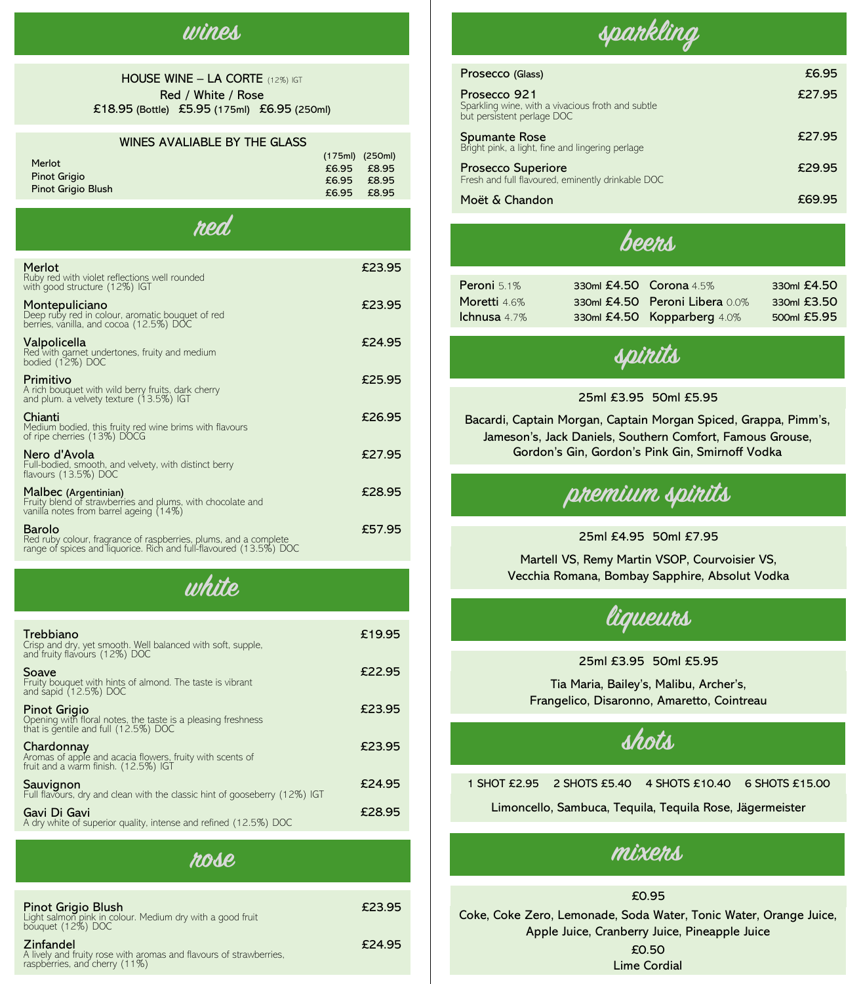### **wines**

#### HOUSE WINE – LA CORTE (12%) IGT Red / White / Rose £18.95 (Bottle) £5.95 (175ml) £6.95 (250ml)

#### WINES AVALIABLE BY THE GLASS

|                           | $(175ml)$ (250ml) |       |
|---------------------------|-------------------|-------|
| Merlot                    | $£6.95$ £8.95     |       |
| <b>Pinot Grigio</b>       | $£6.95$ £8.95     |       |
| <b>Pinot Grigio Blush</b> | £6.95             | £8.95 |
|                           |                   |       |

| hen                                                                                                                                              |        |
|--------------------------------------------------------------------------------------------------------------------------------------------------|--------|
| Merlot<br>Ruby red with violet reflections well rounded<br>with good structure (12%) IGT                                                         | £23.95 |
| Montepuliciano<br>Deep ruby red in colour, aromatic bouquet of red<br>berries, vanilla, and cocoa (12.5%) DOC                                    | £23.95 |
| Valpolicella<br>Red with garnet undertones, fruity and medium<br>bodied (12%) DOC                                                                | £24.95 |
| Primitivo<br>A rich bouquet with wild berry fruits, dark cherry<br>and plum. a velvety texture (13.5%) IGT                                       | £25.95 |
| Chianti<br>Medium bodied, this fruity red wine brims with flavours<br>of ripe cherries (13%) DOCG                                                | £26.95 |
| Nero d'Avola<br>Full-bodied, smooth, and velvety, with distinct berry<br>flavours (13.5%) DOC                                                    | £27.95 |
| Malbec (Argentinian)<br>Fruity blend of strawberries and plums, with chocolate and<br>vanilla notes from barrel ageing (14%)                     | £28.95 |
| Barolo<br>Red ruby colour, fragrance of raspberries, plums, and a complete<br>range of spices and liquorice. Rich and full-flavoured (13.5%) DOC | £57.95 |

## **white**

| Trebbiano<br>Crisp and dry, yet smooth. Well balanced with soft, supple, and fruity flavours (12%) DOC                      | £19.95 |
|-----------------------------------------------------------------------------------------------------------------------------|--------|
| Soave<br>Fruity bouquet with hints of almond. The taste is vibrant<br>and sapid (12.5%) DOC                                 | £22.95 |
| <b>Pinot Grigio</b><br>Opening with floral notes, the taste is a pleasing freshness<br>that is gentile and full (12.5%) DOC | £23.95 |
| Chardonnay<br>Aromas of apple and acacia flowers, fruity with scents of<br>fruit and a warm finish. (12.5%) IGT             | £23.95 |
| Sauvignon<br>Full flavours, dry and clean with the classic hint of gooseberry (12%) IGT                                     | £24.95 |
| Gavi Di Gavi<br>A dry white of superior quality, intense and refined (12.5%) DOC                                            | £28.95 |
|                                                                                                                             |        |

#### **rose**

| <b>Pinot Grigio Blush</b><br>Light salmon pink in colour. Medium dry with a good fruit<br>bouquet (12%) DOC          | £23.95 |
|----------------------------------------------------------------------------------------------------------------------|--------|
| <b>Zinfandel</b><br>A lively and fruity rose with aromas and flavours of strawberries, raspberries, and cherry (11%) | £24.95 |



| Prosecco (Glass)                                                                                | £6.95  |
|-------------------------------------------------------------------------------------------------|--------|
| Prosecco 921<br>Sparkling wine, with a vivacious froth and subtle<br>but persistent perlage DOC | £27.95 |
| <b>Spumante Rose</b><br>Bright pink, a light, fine and lingering perlage                        | £27.95 |
| <b>Prosecco Superiore</b><br>Fresh and full flavoured, eminently drinkable DOC                  | £29.95 |
| Moët & Chandon                                                                                  | £69.95 |

### **beers**

| <b>Peroni</b> 5.1%  | 330ml £4.50 Corona 4.5% |                                | 330ml £4.50 |
|---------------------|-------------------------|--------------------------------|-------------|
| Moretti 4.6%        |                         | 330ml £4.50 Peroni Libera 0.0% | 330ml £3.50 |
| <b>Ichnusa</b> 4.7% |                         | 330ml £4.50 Kopparberg 4.0%    | 500ml £5.95 |
|                     |                         |                                |             |

**spirits**

#### 25ml £3.95 50ml £5.95

Bacardi, Captain Morgan, Captain Morgan Spiced, Grappa, Pimm's, Jameson's, Jack Daniels, Southern Comfort, Famous Grouse, Gordon's Gin, Gordon's Pink Gin, Smirnoff Vodka



25ml £4.95 50ml £7.95

Martell VS, Remy Martin VSOP, Courvoisier VS, Vecchia Romana, Bombay Sapphire, Absolut Vodka

**liqueurs**

25ml £3.95 50ml £5.95

Tia Maria, Bailey's, Malibu, Archer's, Frangelico, Disaronno, Amaretto, Cointreau

**shots**

1 SHOT £2.95 2 SHOTS £5.40 4 SHOTS £10.40 6 SHOTS £15.00 Limoncello, Sambuca, Tequila, Tequila Rose, Jägermeister

### **mixers**

£0.95 Coke, Coke Zero, Lemonade, Soda Water, Tonic Water, Orange Juice, Apple Juice, Cranberry Juice, Pineapple Juice £0.50 Lime Cordial